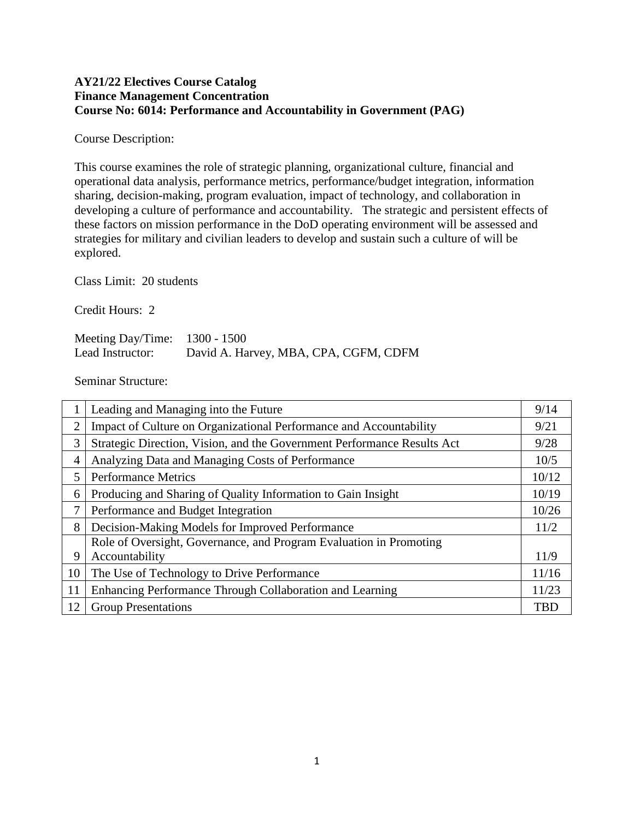### **AY21/22 Electives Course Catalog Finance Management Concentration Course No: 6014: Performance and Accountability in Government (PAG)**

Course Description:

This course examines the role of strategic planning, organizational culture, financial and operational data analysis, performance metrics, performance/budget integration, information sharing, decision-making, program evaluation, impact of technology, and collaboration in developing a culture of performance and accountability. The strategic and persistent effects of these factors on mission performance in the DoD operating environment will be assessed and strategies for military and civilian leaders to develop and sustain such a culture of will be explored.

Class Limit: 20 students

Credit Hours: 2

Meeting Day/Time: 1300 - 1500 Lead Instructor: David A. Harvey, MBA, CPA, CGFM, CDFM

Seminar Structure:

|                | Leading and Managing into the Future                                    | 9/14       |
|----------------|-------------------------------------------------------------------------|------------|
| $\overline{2}$ | Impact of Culture on Organizational Performance and Accountability      | 9/21       |
| 3              | Strategic Direction, Vision, and the Government Performance Results Act | 9/28       |
| 4              | Analyzing Data and Managing Costs of Performance                        | 10/5       |
| 5              | <b>Performance Metrics</b>                                              | 10/12      |
| 6              | Producing and Sharing of Quality Information to Gain Insight            | 10/19      |
| 7              | Performance and Budget Integration                                      | 10/26      |
| 8              | Decision-Making Models for Improved Performance                         | 11/2       |
|                | Role of Oversight, Governance, and Program Evaluation in Promoting      |            |
| 9              | Accountability                                                          | 11/9       |
| 10             | The Use of Technology to Drive Performance                              | 11/16      |
| 11             | Enhancing Performance Through Collaboration and Learning                | 11/23      |
| 12             | <b>Group Presentations</b>                                              | <b>TBD</b> |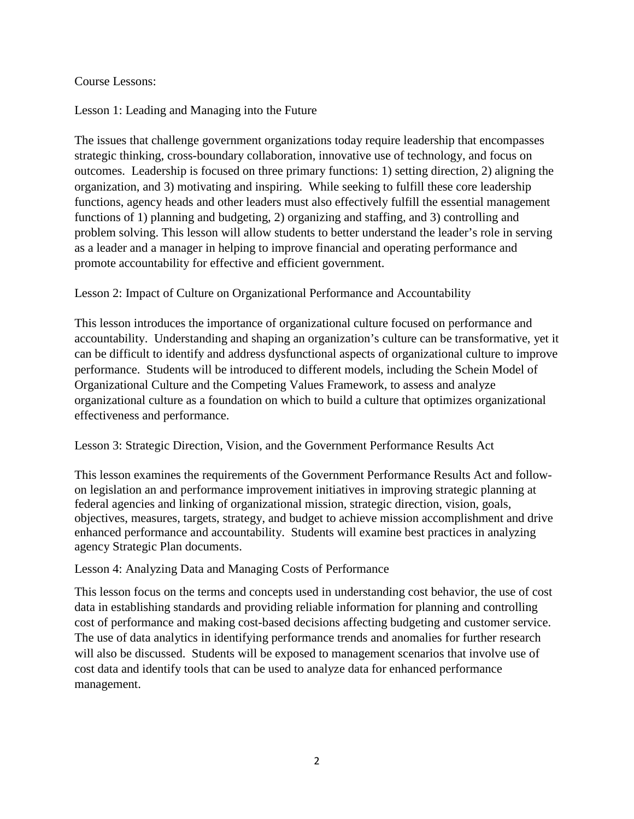### Course Lessons:

# Lesson 1: Leading and Managing into the Future

The issues that challenge government organizations today require leadership that encompasses strategic thinking, cross-boundary collaboration, innovative use of technology, and focus on outcomes. Leadership is focused on three primary functions: 1) setting direction, 2) aligning the organization, and 3) motivating and inspiring. While seeking to fulfill these core leadership functions, agency heads and other leaders must also effectively fulfill the essential management functions of 1) planning and budgeting, 2) organizing and staffing, and 3) controlling and problem solving. This lesson will allow students to better understand the leader's role in serving as a leader and a manager in helping to improve financial and operating performance and promote accountability for effective and efficient government.

# Lesson 2: Impact of Culture on Organizational Performance and Accountability

This lesson introduces the importance of organizational culture focused on performance and accountability. Understanding and shaping an organization's culture can be transformative, yet it can be difficult to identify and address dysfunctional aspects of organizational culture to improve performance. Students will be introduced to different models, including the Schein Model of Organizational Culture and the Competing Values Framework, to assess and analyze organizational culture as a foundation on which to build a culture that optimizes organizational effectiveness and performance.

#### Lesson 3: Strategic Direction, Vision, and the Government Performance Results Act

This lesson examines the requirements of the Government Performance Results Act and followon legislation an and performance improvement initiatives in improving strategic planning at federal agencies and linking of organizational mission, strategic direction, vision, goals, objectives, measures, targets, strategy, and budget to achieve mission accomplishment and drive enhanced performance and accountability. Students will examine best practices in analyzing agency Strategic Plan documents.

#### Lesson 4: Analyzing Data and Managing Costs of Performance

This lesson focus on the terms and concepts used in understanding cost behavior, the use of cost data in establishing standards and providing reliable information for planning and controlling cost of performance and making cost-based decisions affecting budgeting and customer service. The use of data analytics in identifying performance trends and anomalies for further research will also be discussed. Students will be exposed to management scenarios that involve use of cost data and identify tools that can be used to analyze data for enhanced performance management.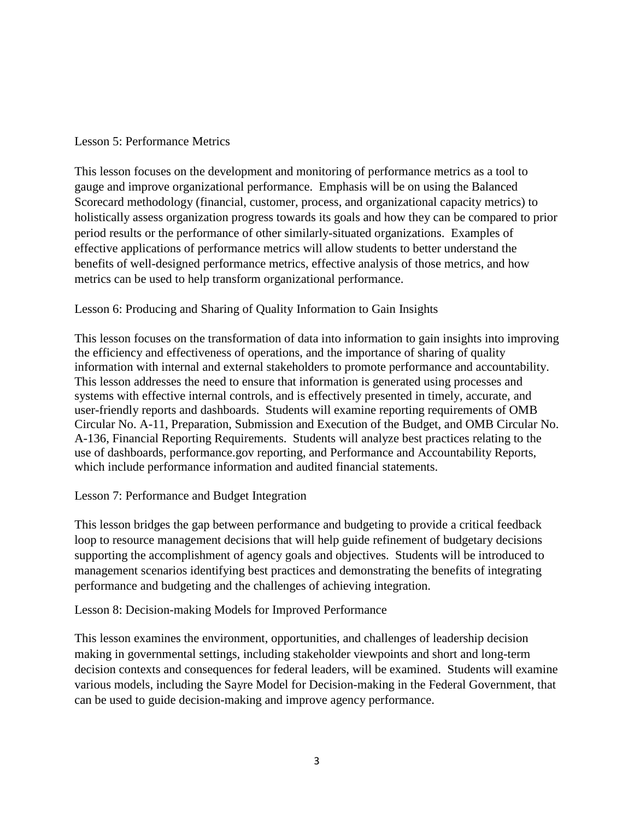### Lesson 5: Performance Metrics

This lesson focuses on the development and monitoring of performance metrics as a tool to gauge and improve organizational performance. Emphasis will be on using the Balanced Scorecard methodology (financial, customer, process, and organizational capacity metrics) to holistically assess organization progress towards its goals and how they can be compared to prior period results or the performance of other similarly-situated organizations. Examples of effective applications of performance metrics will allow students to better understand the benefits of well-designed performance metrics, effective analysis of those metrics, and how metrics can be used to help transform organizational performance.

# Lesson 6: Producing and Sharing of Quality Information to Gain Insights

This lesson focuses on the transformation of data into information to gain insights into improving the efficiency and effectiveness of operations, and the importance of sharing of quality information with internal and external stakeholders to promote performance and accountability. This lesson addresses the need to ensure that information is generated using processes and systems with effective internal controls, and is effectively presented in timely, accurate, and user-friendly reports and dashboards. Students will examine reporting requirements of OMB Circular No. A-11, Preparation, Submission and Execution of the Budget, and OMB Circular No. A-136, Financial Reporting Requirements. Students will analyze best practices relating to the use of dashboards, performance.gov reporting, and Performance and Accountability Reports, which include performance information and audited financial statements.

#### Lesson 7: Performance and Budget Integration

This lesson bridges the gap between performance and budgeting to provide a critical feedback loop to resource management decisions that will help guide refinement of budgetary decisions supporting the accomplishment of agency goals and objectives. Students will be introduced to management scenarios identifying best practices and demonstrating the benefits of integrating performance and budgeting and the challenges of achieving integration.

# Lesson 8: Decision-making Models for Improved Performance

This lesson examines the environment, opportunities, and challenges of leadership decision making in governmental settings, including stakeholder viewpoints and short and long-term decision contexts and consequences for federal leaders, will be examined. Students will examine various models, including the Sayre Model for Decision-making in the Federal Government, that can be used to guide decision-making and improve agency performance.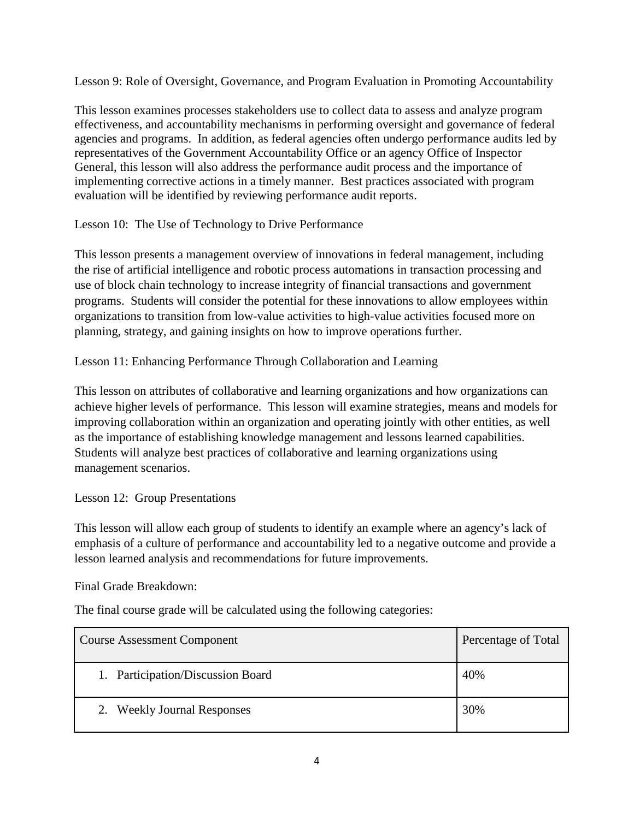Lesson 9: Role of Oversight, Governance, and Program Evaluation in Promoting Accountability

This lesson examines processes stakeholders use to collect data to assess and analyze program effectiveness, and accountability mechanisms in performing oversight and governance of federal agencies and programs. In addition, as federal agencies often undergo performance audits led by representatives of the Government Accountability Office or an agency Office of Inspector General, this lesson will also address the performance audit process and the importance of implementing corrective actions in a timely manner. Best practices associated with program evaluation will be identified by reviewing performance audit reports.

Lesson 10: The Use of Technology to Drive Performance

This lesson presents a management overview of innovations in federal management, including the rise of artificial intelligence and robotic process automations in transaction processing and use of block chain technology to increase integrity of financial transactions and government programs. Students will consider the potential for these innovations to allow employees within organizations to transition from low-value activities to high-value activities focused more on planning, strategy, and gaining insights on how to improve operations further.

Lesson 11: Enhancing Performance Through Collaboration and Learning

This lesson on attributes of collaborative and learning organizations and how organizations can achieve higher levels of performance. This lesson will examine strategies, means and models for improving collaboration within an organization and operating jointly with other entities, as well as the importance of establishing knowledge management and lessons learned capabilities. Students will analyze best practices of collaborative and learning organizations using management scenarios.

Lesson 12: Group Presentations

This lesson will allow each group of students to identify an example where an agency's lack of emphasis of a culture of performance and accountability led to a negative outcome and provide a lesson learned analysis and recommendations for future improvements.

Final Grade Breakdown:

The final course grade will be calculated using the following categories:

| <b>Course Assessment Component</b> | Percentage of Total |
|------------------------------------|---------------------|
| 1. Participation/Discussion Board  | 40%                 |
| 2. Weekly Journal Responses        | 30%                 |